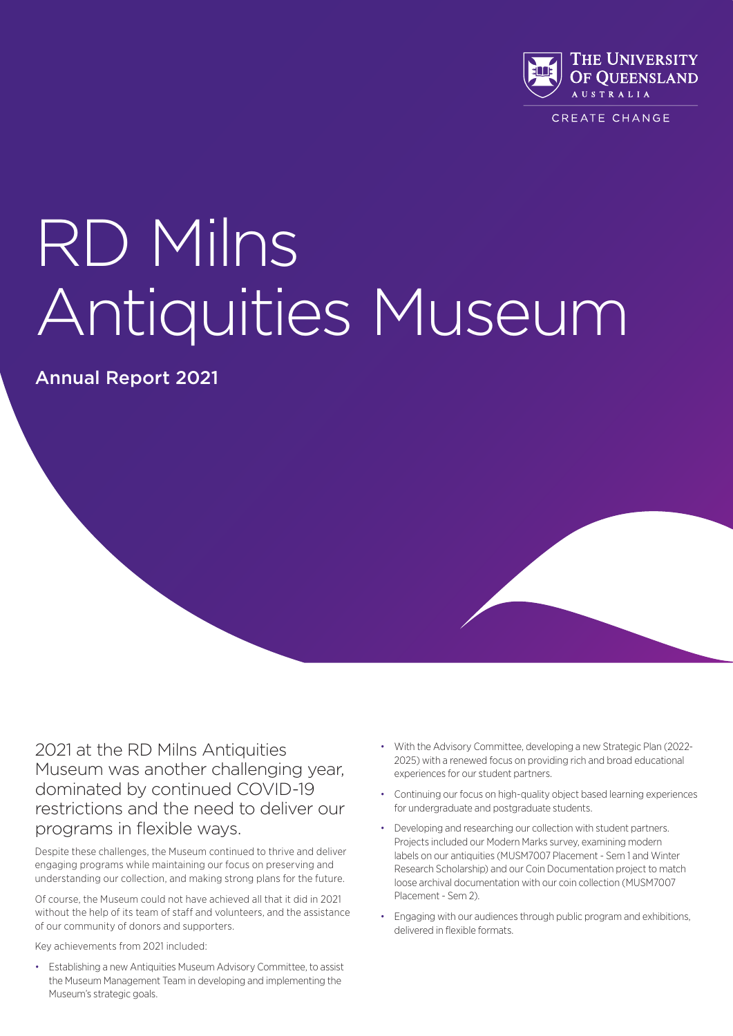

CREATE CHANGE

# RD Milns Antiquities Museum

Annual Report 2021

2021 at the RD Milns Antiquities Museum was another challenging year, dominated by continued COVID-19 restrictions and the need to deliver our programs in flexible ways.

Despite these challenges, the Museum continued to thrive and deliver engaging programs while maintaining our focus on preserving and understanding our collection, and making strong plans for the future.

Of course, the Museum could not have achieved all that it did in 2021 without the help of its team of staff and volunteers, and the assistance of our community of donors and supporters.

Key achievements from 2021 included:

• Establishing a new Antiquities Museum Advisory Committee, to assist the Museum Management Team in developing and implementing the Museum's strategic goals.

- With the Advisory Committee, developing a new Strategic Plan (2022- 2025) with a renewed focus on providing rich and broad educational experiences for our student partners.
- Continuing our focus on high-quality object based learning experiences for undergraduate and postgraduate students.
- Developing and researching our collection with student partners. Projects included our Modern Marks survey, examining modern labels on our antiquities (MUSM7007 Placement - Sem 1 and Winter Research Scholarship) and our Coin Documentation project to match loose archival documentation with our coin collection (MUSM7007 Placement - Sem 2).
- Engaging with our audiences through public program and exhibitions, delivered in flexible formats.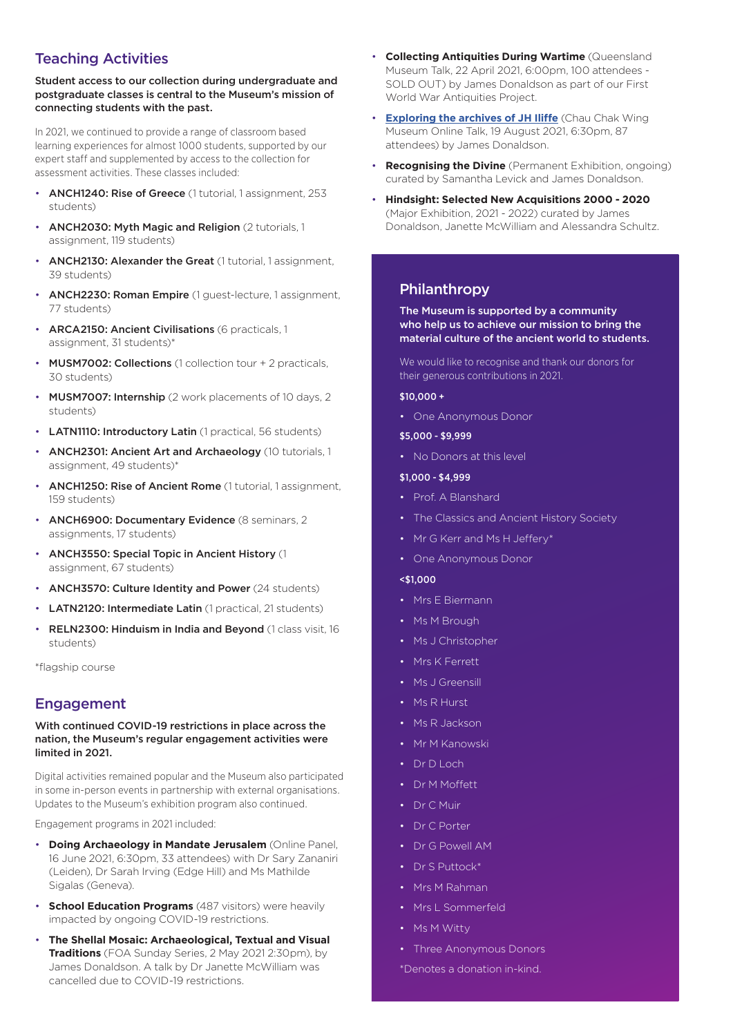## Teaching Activities

Student access to our collection during undergraduate and postgraduate classes is central to the Museum's mission of connecting students with the past.

In 2021, we continued to provide a range of classroom based learning experiences for almost 1000 students, supported by our expert staff and supplemented by access to the collection for assessment activities. These classes included:

- ANCH1240: Rise of Greece (1 tutorial, 1 assignment, 253 students)
- ANCH2030: Myth Magic and Religion (2 tutorials, 1 assignment, 119 students)
- ANCH2130: Alexander the Great (1 tutorial, 1 assignment, 39 students)
- ANCH2230: Roman Empire (1 guest-lecture, 1 assignment, 77 students)
- ARCA2150: Ancient Civilisations (6 practicals, 1 assignment, 31 students)\*
- MUSM7002: Collections (1 collection tour + 2 practicals, 30 students)
- MUSM7007: Internship (2 work placements of 10 days, 2 students)
- **LATN1110: Introductory Latin** (1 practical, 56 students)
- ANCH2301: Ancient Art and Archaeology (10 tutorials, 1 assignment, 49 students)\*
- ANCH1250: Rise of Ancient Rome (1 tutorial, 1 assignment, 159 students)
- **ANCH6900: Documentary Evidence** (8 seminars, 2 assignments, 17 students)
- ANCH3550: Special Topic in Ancient History (1 assignment, 67 students)
- ANCH3570: Culture Identity and Power (24 students)
- LATN2120: Intermediate Latin (1 practical, 21 students)
- RELN2300: Hinduism in India and Beyond (1 class visit, 16 students)

\*flagship course

## Engagement

#### With continued COVID-19 restrictions in place across the nation, the Museum's regular engagement activities were limited in 2021.

Digital activities remained popular and the Museum also participated in some in-person events in partnership with external organisations. Updates to the Museum's exhibition program also continued.

Engagement programs in 2021 included:

- **Doing Archaeology in Mandate Jerusalem** (Online Panel, 16 June 2021, 6:30pm, 33 attendees) with Dr Sary Zananiri (Leiden), Dr Sarah Irving (Edge Hill) and Ms Mathilde Sigalas (Geneva).
- **School Education Programs** (487 visitors) were heavily impacted by ongoing COVID-19 restrictions.
- **The Shellal Mosaic: Archaeological, Textual and Visual Traditions** (FOA Sunday Series, 2 May 2021 2:30pm), by James Donaldson. A talk by Dr Janette McWilliam was cancelled due to COVID-19 restrictions.
- **Collecting Antiquities During Wartime** (Queensland Museum Talk, 22 April 2021, 6:00pm, 100 attendees - SOLD OUT) by James Donaldson as part of our First World War Antiquities Project.
- **Exploring the archives of JH Iliffe** (Chau Chak Wing Museum Online Talk, 19 August 2021, 6:30pm, 87 attendees) by James Donaldson.
- **Recognising the Divine** (Permanent Exhibition, ongoing) curated by Samantha Levick and James Donaldson.
- **Hindsight: Selected New Acquisitions 2000 2020**  (Major Exhibition, 2021 - 2022) curated by James Donaldson, Janette McWilliam and Alessandra Schultz.

#### Philanthropy

The Museum is supported by a community who help us to achieve our mission to bring the material culture of the ancient world to students.

We would like to recognise and thank our donors for their generous contributions in 2021.

#### \$10,000 +

• One Anonymous Donor

#### \$5,000 - \$9,999

• No Donors at this level

#### \$1,000 - \$4,999

- Prof. A Blanshard
- The Classics and Ancient History Society
- Mr G Kerr and Ms H Jeffery\*
- One Anonymous Donor
- <\$1,000
- Mrs E Biermann
- Ms M Brough
- Ms J Christopher
- Mrs K Ferrett
- Ms J Greensill
- Ms R Hurst
- Ms R Jackson
- Mr M Kanowski
- Dr D Loch
- Dr M Moffett
- Dr C Muir
- Dr C Porter
- Dr G Powell AM
- Dr S Puttock\*
- Mrs M Rahman
- Mrs L Sommerfeld
- Ms M Witty
- Three Anonymous Donors
- \*Denotes a donation in-kind.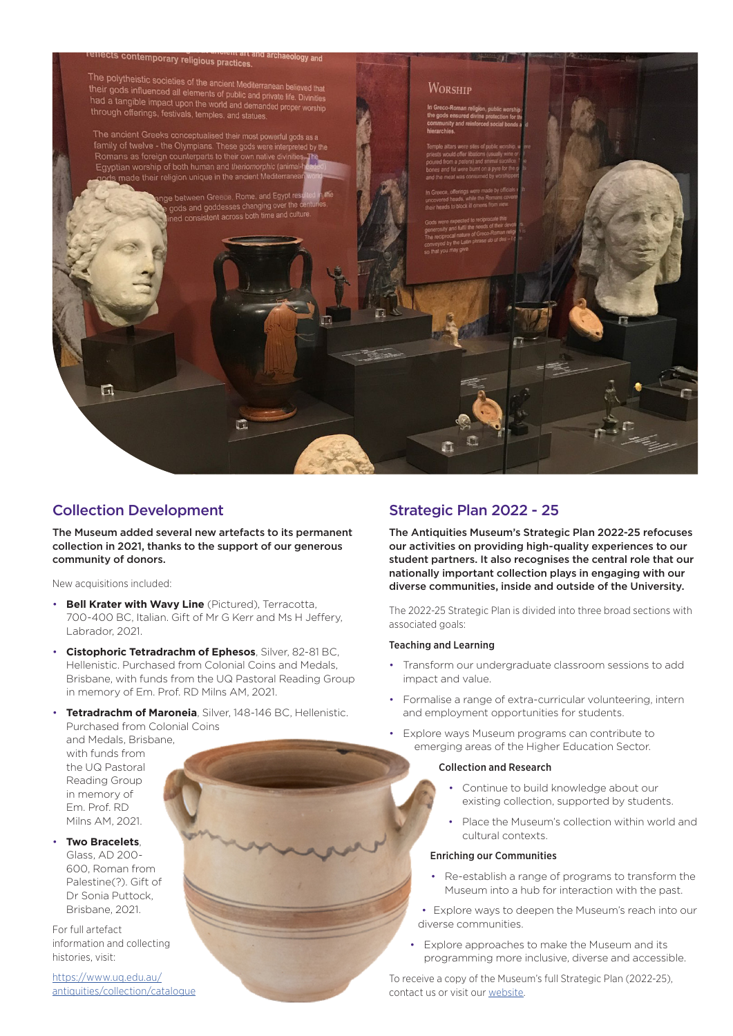

## Collection Development

The Museum added several new artefacts to its permanent collection in 2021, thanks to the support of our generous community of donors.

New acquisitions included:

- **Bell Krater with Wavy Line** (Pictured), Terracotta, 700-400 BC, Italian. Gift of Mr G Kerr and Ms H Jeffery, Labrador, 2021.
- **Cistophoric Tetradrachm of Ephesos**, Silver, 82-81 BC, Hellenistic. Purchased from Colonial Coins and Medals, Brisbane, with funds from the UQ Pastoral Reading Group in memory of Em. Prof. RD Milns AM, 2021.
- **Tetradrachm of Maroneia**, Silver, 148-146 BC, Hellenistic. Purchased from Colonial Coins and Medals, Brisbane,

## Strategic Plan 2022 - 25

The Antiquities Museum's Strategic Plan 2022-25 refocuses our activities on providing high-quality experiences to our student partners. It also recognises the central role that our nationally important collection plays in engaging with our diverse communities, inside and outside of the University.

The 2022-25 Strategic Plan is divided into three broad sections with associated goals:

#### Teaching and Learning

- Transform our undergraduate classroom sessions to add impact and value.
- Formalise a range of extra-curricular volunteering, intern and employment opportunities for students.
- Explore ways Museum programs can contribute to emerging areas of the Higher Education Sector.

#### Collection and Research

- Continue to build knowledge about our existing collection, supported by students.
- Place the Museum's collection within world and cultural contexts.

#### Enriching our Communities

- Re-establish a range of programs to transform the Museum into a hub for interaction with the past.
- Explore ways to deepen the Museum's reach into our diverse communities.
- Explore approaches to make the Museum and its programming more inclusive, diverse and accessible.

To receive a copy of the Museum's full Strategic Plan (2022-25), contact us or visit our website.

in memory of Em. Prof. RD Milns AM, 2021. • **Two Bracelets**, Glass, AD 200- 600, Roman from Palestine(?). Gift of Dr Sonia Puttock,

with funds from the UQ Pastoral Reading Group

Brisbane, 2021. For full artefact information and collecting histories, visit:

https://www.uq.edu.au/ antiquities/collection/catalogue